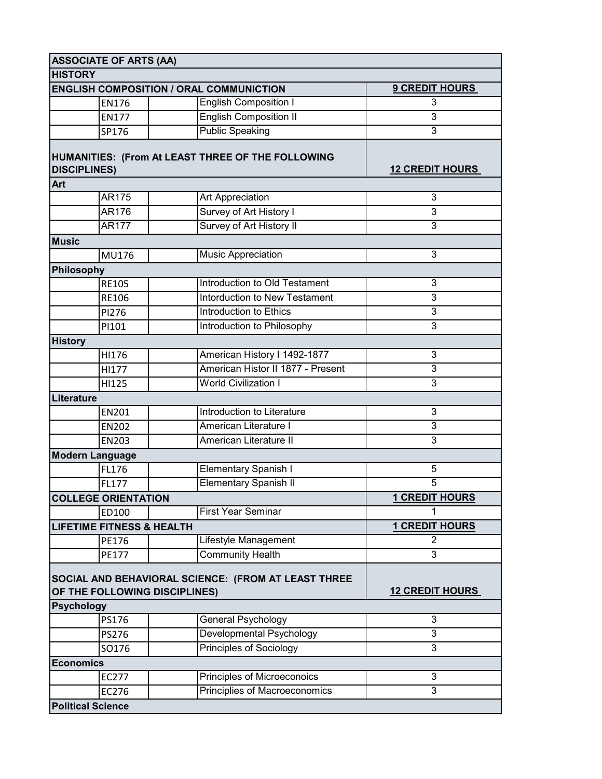|                                                                                      | <b>ASSOCIATE OF ARTS (AA)</b> |  |                                      |                        |
|--------------------------------------------------------------------------------------|-------------------------------|--|--------------------------------------|------------------------|
| <b>HISTORY</b>                                                                       |                               |  |                                      |                        |
| <b>ENGLISH COMPOSITION / ORAL COMMUNICTION</b>                                       |                               |  |                                      | <b>9 CREDIT HOURS</b>  |
|                                                                                      | <b>EN176</b>                  |  | <b>English Composition I</b>         | 3                      |
|                                                                                      | <b>EN177</b>                  |  | <b>English Composition II</b>        | 3                      |
|                                                                                      | SP176                         |  | <b>Public Speaking</b>               | 3                      |
| HUMANITIES: (From At LEAST THREE OF THE FOLLOWING<br><b>DISCIPLINES)</b>             |                               |  |                                      | <b>12 CREDIT HOURS</b> |
| <b>Art</b>                                                                           |                               |  |                                      |                        |
|                                                                                      | AR175                         |  | Art Appreciation                     | 3                      |
|                                                                                      | AR176                         |  | Survey of Art History I              | 3                      |
|                                                                                      | <b>AR177</b>                  |  | Survey of Art History II             | 3                      |
| <b>Music</b>                                                                         |                               |  |                                      |                        |
|                                                                                      | <b>MU176</b>                  |  | <b>Music Appreciation</b>            | 3                      |
| Philosophy                                                                           |                               |  |                                      |                        |
|                                                                                      | <b>RE105</b>                  |  | Introduction to Old Testament        | 3                      |
|                                                                                      | <b>RE106</b>                  |  | Intorduction to New Testament        | 3                      |
|                                                                                      | PI276                         |  | Introduction to Ethics               | 3                      |
|                                                                                      | PI101                         |  | Introduction to Philosophy           | 3                      |
| <b>History</b>                                                                       |                               |  |                                      |                        |
|                                                                                      | HI176                         |  | American History I 1492-1877         | 3                      |
|                                                                                      | HI177                         |  | American Histor II 1877 - Present    | 3                      |
|                                                                                      | HI125                         |  | <b>World Civilization I</b>          | 3                      |
| Literature                                                                           |                               |  |                                      |                        |
|                                                                                      | <b>EN201</b>                  |  | Introduction to Literature           | 3                      |
|                                                                                      | <b>EN202</b>                  |  | American Literature I                | 3                      |
|                                                                                      | <b>EN203</b>                  |  | <b>American Literature II</b>        | 3                      |
| <b>Modern Language</b>                                                               |                               |  |                                      |                        |
|                                                                                      | FL176                         |  | <b>Elementary Spanish I</b>          | 5                      |
|                                                                                      | <b>FL177</b>                  |  | <b>Elementary Spanish II</b>         | 5                      |
| <b>COLLEGE ORIENTATION</b>                                                           |                               |  |                                      | <b>1 CREDIT HOURS</b>  |
|                                                                                      | ED100                         |  | <b>First Year Seminar</b>            | 1                      |
| <b>LIFETIME FITNESS &amp; HEALTH</b>                                                 |                               |  |                                      | <b>1 CREDIT HOURS</b>  |
|                                                                                      | PE176                         |  | Lifestyle Management                 | 2                      |
|                                                                                      | <b>PE177</b>                  |  | <b>Community Health</b>              | 3                      |
| SOCIAL AND BEHAVIORAL SCIENCE: (FROM AT LEAST THREE<br>OF THE FOLLOWING DISCIPLINES) |                               |  |                                      | <b>12 CREDIT HOURS</b> |
| <b>Psychology</b>                                                                    |                               |  |                                      |                        |
|                                                                                      | PS176                         |  | General Psychology                   | 3                      |
|                                                                                      | <b>PS276</b>                  |  | Developmental Psychology             | 3                      |
|                                                                                      | SO176                         |  | <b>Principles of Sociology</b>       | 3                      |
| <b>Economics</b>                                                                     |                               |  |                                      |                        |
|                                                                                      | EC277                         |  | Principles of Microeconoics          | 3                      |
|                                                                                      | EC276                         |  | <b>Principlies of Macroeconomics</b> | 3                      |
| <b>Political Science</b>                                                             |                               |  |                                      |                        |